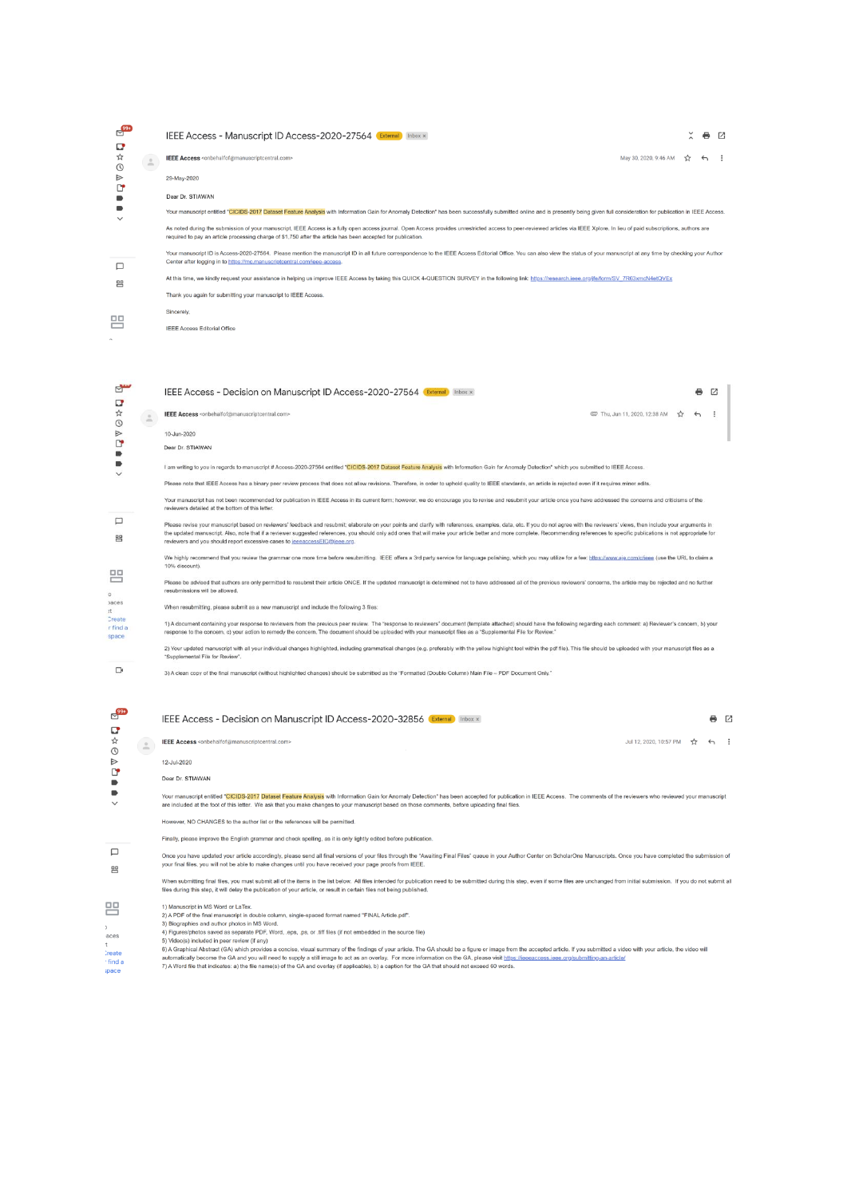| ◘                 |        | IEEE Access - Manuscript ID Access-2020-27564 External Inbox x                                                                                                                                                                                                                                                                                |                       |                | ₩. | -71 |
|-------------------|--------|-----------------------------------------------------------------------------------------------------------------------------------------------------------------------------------------------------------------------------------------------------------------------------------------------------------------------------------------------|-----------------------|----------------|----|-----|
| ☆                 | $\sim$ | <b>IEEE Access</b> <onbehalfof@manuscriptcentral.com></onbehalfof@manuscriptcentral.com>                                                                                                                                                                                                                                                      | May 30, 2020, 9:46 AM | $\overline{X}$ |    |     |
| $^\circledR$<br>⋗ |        | 29-May-2020                                                                                                                                                                                                                                                                                                                                   |                       |                |    |     |
|                   |        | Dear Dr. STIAWAN                                                                                                                                                                                                                                                                                                                              |                       |                |    |     |
|                   |        | Your manuscript entitled "CICIDS-2017 Dataset Feature Analysis with Information Gain for Anomaly Detection" has been successfully submitted online and is presently being given full consideration for publication in IEEE Acc                                                                                                                |                       |                |    |     |
|                   |        | As noted during the submission of your manuscript, IEEE Access is a fully open access journal. Open Access provides unrestricted access to peer-reviewed articles via IEEE Xplore. In lieu of paid subscriptions, authors are<br>required to pay an article processing charge of \$1,750 after the article has been accepted for publication. |                       |                |    |     |
|                   |        | Your manuscript ID is Access-2020-27564. Please mention the manuscript ID in all future correspondence to the IEEE Access Editorial Office. You can also view the status of your manuscript at any time by checking your Autho<br>Center after logging in to https://mc.manuscriptcentral.com/ieee-access.                                    |                       |                |    |     |
| 岊                 |        | At this time, we kindly request your assistance in helping us improve IEEE Access by taking this QUICK 4-QUESTION SURVEY in the following link: https://research.jeee.org/ife/form/SV_7R63xmcN4etQVEx                                                                                                                                         |                       |                |    |     |
|                   |        | Thank you again for submitting your manuscript to IEEE Access.                                                                                                                                                                                                                                                                                |                       |                |    |     |
| $\Box$            |        | Sincerely,                                                                                                                                                                                                                                                                                                                                    |                       |                |    |     |
|                   |        | <b>IEEE Access Editorial Office</b>                                                                                                                                                                                                                                                                                                           |                       |                |    |     |
|                   |        |                                                                                                                                                                                                                                                                                                                                               |                       |                |    |     |

**DENOADOD** 

 $\Box$ 먬

먬

o<br>paces<br>at<br>Create<br>in find a<br>space

 $\Box$ 

| $\triangle$ | IEEE Access <onbehalfof@manuscriptcentral.com></onbehalfof@manuscriptcentral.com>                                                                                                                                                                                                                                                                                                                                                                                                                                                              | © Thu, Jun 11, 2020, 12:38 AM ☆ | $\leftrightarrow$ |  |
|-------------|------------------------------------------------------------------------------------------------------------------------------------------------------------------------------------------------------------------------------------------------------------------------------------------------------------------------------------------------------------------------------------------------------------------------------------------------------------------------------------------------------------------------------------------------|---------------------------------|-------------------|--|
|             | 10-Jun-2020                                                                                                                                                                                                                                                                                                                                                                                                                                                                                                                                    |                                 |                   |  |
|             | Dear Dr. STIAWAN                                                                                                                                                                                                                                                                                                                                                                                                                                                                                                                               |                                 |                   |  |
|             | I am writing to you in regards to manuscript # Access-2020-27564 entitled "CICIDS-2017 Dataset Feature Analysis with Information Gain for Anomaly Detection" which you submitted to IEEE Access.                                                                                                                                                                                                                                                                                                                                               |                                 |                   |  |
|             | Please note that IEEE Access has a binary peer review process that does not allow revisions. Therefore, in order to uphold quality to IEEE standards, an article is rejected even if it requires minor edits.                                                                                                                                                                                                                                                                                                                                  |                                 |                   |  |
|             | Your manuscript has not been recommended for publication in IEEE Access in its current form; however, we do encourage you to revise and resubmit your article once you have addressed the concerns and criticisms of the<br>reviewers detailed at the bottom of this letter.                                                                                                                                                                                                                                                                   |                                 |                   |  |
|             | Please revise your manuscript based on reviewers' feedback and resubmit; elaborate on your points and clarify with references, examples, data, etc. If you do not agree with the reviewers' views, then include your arguments<br>the updated manuscript. Also, note that if a reviewer suggested references, you should only add ones that will make your article better and more complete. Recommending references to specific publications is not appropriate<br>reviewers and you should report excessive cases to jeeeaccessEIC@ieee.org. |                                 |                   |  |
|             | We highly recommend that you review the grammar one more time before resubmitting. IEEE offers a 3rd party service for language polishing, which you may utilize for a fee: https://www.aie.com/c/ieee (use the URL to claim a<br>10% discount).                                                                                                                                                                                                                                                                                               |                                 |                   |  |
|             | Please be advised that authors are only permitted to resubmit their article ONCE. If the updated manuscript is determined not to have addressed all of the previous reviewers' concerns, the article may be rejected and no fu<br>resubmissions will be allowed.                                                                                                                                                                                                                                                                               |                                 |                   |  |
|             | When resubmitting, please submit as a new manuscript and include the following 3 files;                                                                                                                                                                                                                                                                                                                                                                                                                                                        |                                 |                   |  |
|             | 1) A document containing your response to reviewers from the previous peer review. The "response to reviewers" document (template attached) should have the following regarding each comment: a) Reviewer's concern, b) your<br>response to the concern, c) your action to remedy the concern. The document should be uploaded with your manuscript files as a "Supplemental File for Review."                                                                                                                                                 |                                 |                   |  |
|             | 2) Your updated manuscript with all your individual changes highlighted, including grammatical changes (e.g. preferably with the yellow highlight tool within the pdf file). This file should be uploaded with your manuscript<br>*Supplemental File for Review".                                                                                                                                                                                                                                                                              |                                 |                   |  |
|             |                                                                                                                                                                                                                                                                                                                                                                                                                                                                                                                                                |                                 |                   |  |

 $\bullet$   $\alpha$  |

3) A clean copy of the final manuscript (without highlighted changes) should be submitted as the "Formatted (Double Column) Main File - PDF Document Only."

IEEE Access - Decision on Manuscript ID Access-2020-27564 External Inbox x

|                                        |                       | IEEE Access - Decision on Manuscript ID Access-2020-32856 External Inbox x                                                                                                                                                                                                                                                                                                                                                                                                                                                                                                                                                                                                                                                                                                                                                                                                                                                                       |                        | ⊷ | Г. |
|----------------------------------------|-----------------------|--------------------------------------------------------------------------------------------------------------------------------------------------------------------------------------------------------------------------------------------------------------------------------------------------------------------------------------------------------------------------------------------------------------------------------------------------------------------------------------------------------------------------------------------------------------------------------------------------------------------------------------------------------------------------------------------------------------------------------------------------------------------------------------------------------------------------------------------------------------------------------------------------------------------------------------------------|------------------------|---|----|
| ☆<br>⊙                                 | $\stackrel{\circ}{-}$ | <b>IEEE Access</b> <onbehalfof@manuscriptcentral.com></onbehalfof@manuscriptcentral.com>                                                                                                                                                                                                                                                                                                                                                                                                                                                                                                                                                                                                                                                                                                                                                                                                                                                         | Jul 12, 2020, 10:57 PM |   |    |
| ⊳                                      |                       | 12-Jul-2020                                                                                                                                                                                                                                                                                                                                                                                                                                                                                                                                                                                                                                                                                                                                                                                                                                                                                                                                      |                        |   |    |
| ℺                                      |                       | Dear Dr. STIAWAN                                                                                                                                                                                                                                                                                                                                                                                                                                                                                                                                                                                                                                                                                                                                                                                                                                                                                                                                 |                        |   |    |
|                                        |                       | Your manuscript entitled "CICIDS-2017 Dataset Feature Analysis with Information Gain for Anomaly Detection" has been accepted for publication in IEEE Access. The comments of the reviewers who reviewed your manuscript<br>are included at the foot of this letter. We ask that you make changes to your manuscript based on those comments, before uploading final files.                                                                                                                                                                                                                                                                                                                                                                                                                                                                                                                                                                      |                        |   |    |
|                                        |                       | However, NO CHANGES to the author list or the references will be permitted.                                                                                                                                                                                                                                                                                                                                                                                                                                                                                                                                                                                                                                                                                                                                                                                                                                                                      |                        |   |    |
|                                        |                       | Finally, please improve the English grammar and check spelling, as it is only lightly edited before publication.                                                                                                                                                                                                                                                                                                                                                                                                                                                                                                                                                                                                                                                                                                                                                                                                                                 |                        |   |    |
| □<br>閂                                 |                       | Once you have updated your article accordingly, please send all final versions of your files through the "Awaiting Final Files" queue in your Author Center on ScholarOne Manuscripts, Once you have completed the submission<br>vour final files, you will not be able to make changes until you have received your page proofs from IEEE.                                                                                                                                                                                                                                                                                                                                                                                                                                                                                                                                                                                                      |                        |   |    |
|                                        |                       | When submitting final files, you must submit all of the items in the list below. All files intended for publication need to be submitted during this step, even if some files are unchanged from initial submission. If you do<br>files during this step, it will delay the publication of your article, or result in certain files not being published.                                                                                                                                                                                                                                                                                                                                                                                                                                                                                                                                                                                         |                        |   |    |
| ᄆ<br>aces<br>Create<br>find a<br>ipace |                       | 1) Manuscript in MS Word or LaTex.<br>2) A PDF of the final manuscript in double column, single-spaced format named "FINAL Article.pdf".<br>3) Biographies and author photos in MS Word.<br>4) Figures/photos saved as separate PDF, Word, .eps, .ps, or .tiff files (if not embedded in the source file)<br>5) Video(s) included in peer review (if any)<br>6) A Graphical Abstract (GA) which provides a concise, visual summary of the findings of your article. The GA should be a figure or image from the accepted article. If you submitted a video with your article, the video wil<br>automatically become the GA and you will need to supply a still image to act as an overlay. For more information on the GA, please visit https://ieeeaccess.jeee.org/submitting-an-article/<br>7) A Word file that indicates: a) the file name(s) of the GA and overlay (if applicable), b) a caption for the GA that should not exceed 60 words. |                        |   |    |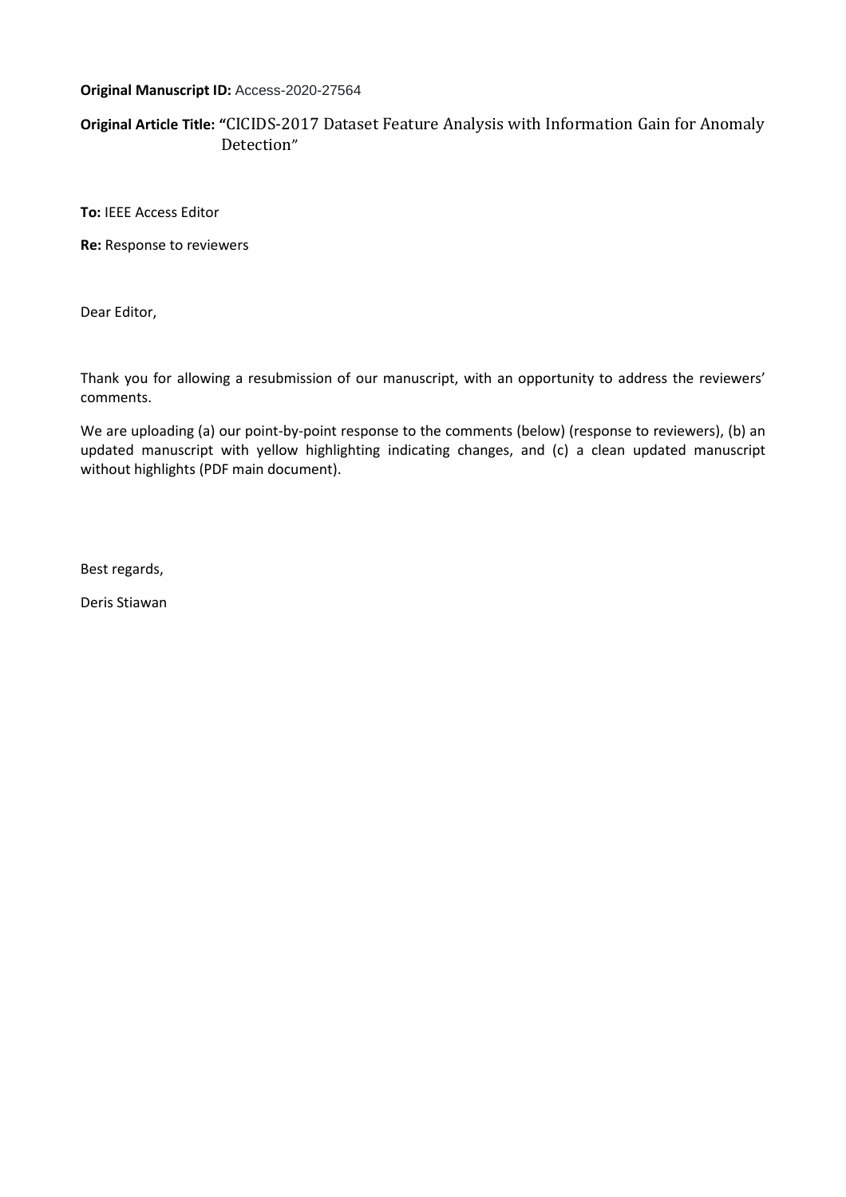## **Original Manuscript ID:** Access-2020-27564

# **Original Article Title: "**CICIDS-2017 Dataset Feature Analysis with Information Gain for Anomaly Detection"

**To:** IEEE Access Editor

**Re:** Response to reviewers

Dear Editor,

Thank you for allowing a resubmission of our manuscript, with an opportunity to address the reviewers' comments.

We are uploading (a) our point-by-point response to the comments (below) (response to reviewers), (b) an updated manuscript with yellow highlighting indicating changes, and (c) a clean updated manuscript without highlights (PDF main document).

Best regards,

Deris Stiawan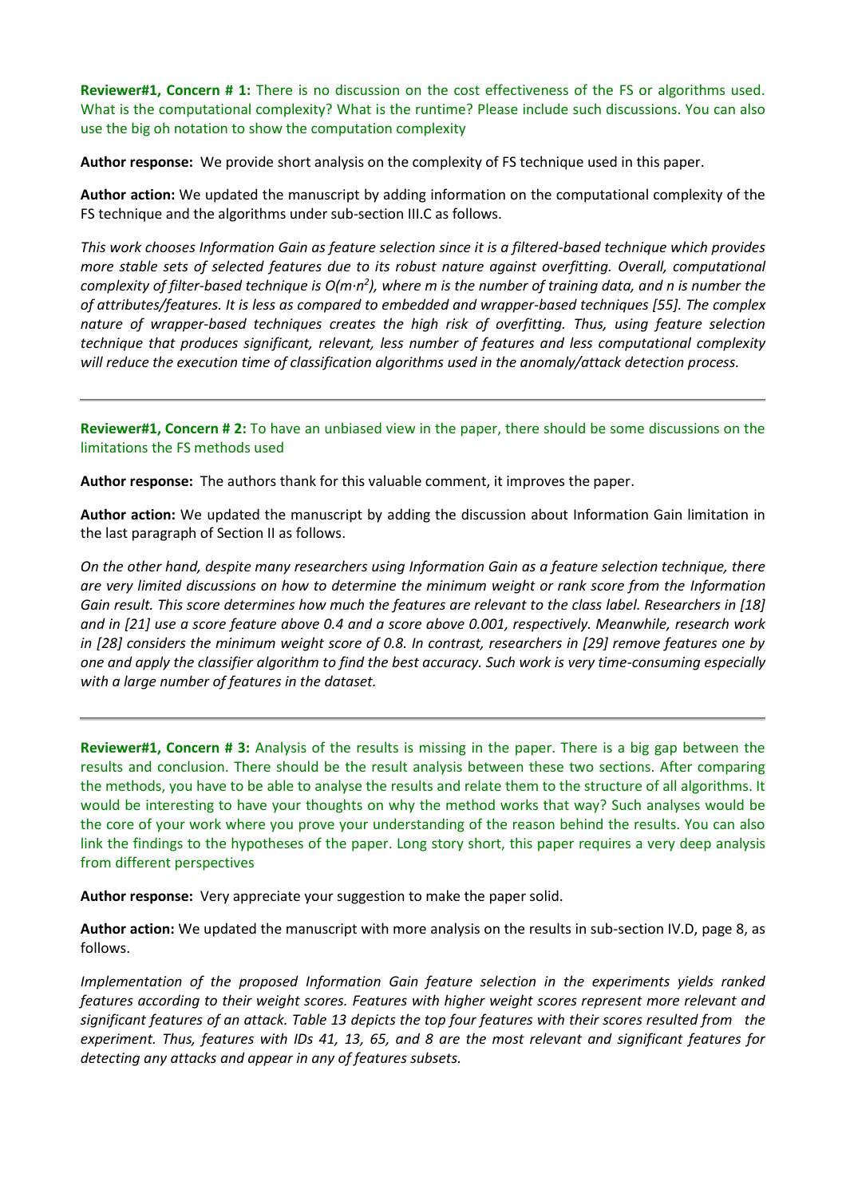**Reviewer#1, Concern # 1:** There is no discussion on the cost effectiveness of the FS or algorithms used. What is the computational complexity? What is the runtime? Please include such discussions. You can also use the big oh notation to show the computation complexity

**Author response:** We provide short analysis on the complexity of FS technique used in this paper.

**Author action:** We updated the manuscript by adding information on the computational complexity of the FS technique and the algorithms under sub-section III.C as follows.

*This work chooses Information Gain as feature selection since it is a filtered-based technique which provides more stable sets of selected features due to its robust nature against overfitting. Overall, computational*  complexity of filter-based technique is O(m·n<sup>2</sup>), where m is the number of training data, and n is number the *of attributes/features. It is less as compared to embedded and wrapper-based techniques [55]. The complex nature of wrapper-based techniques creates the high risk of overfitting. Thus, using feature selection technique that produces significant, relevant, less number of features and less computational complexity will reduce the execution time of classification algorithms used in the anomaly/attack detection process.*

**Reviewer#1, Concern # 2:** To have an unbiased view in the paper, there should be some discussions on the limitations the FS methods used

**Author response:** The authors thank for this valuable comment, it improves the paper.

**Author action:** We updated the manuscript by adding the discussion about Information Gain limitation in the last paragraph of Section II as follows.

*On the other hand, despite many researchers using Information Gain as a feature selection technique, there are very limited discussions on how to determine the minimum weight or rank score from the Information Gain result. This score determines how much the features are relevant to the class label. Researchers in [18] and in [21] use a score feature above 0.4 and a score above 0.001, respectively. Meanwhile, research work in [28] considers the minimum weight score of 0.8. In contrast, researchers in [29] remove features one by one and apply the classifier algorithm to find the best accuracy. Such work is very time-consuming especially with a large number of features in the dataset.*

**Reviewer#1, Concern # 3:** Analysis of the results is missing in the paper. There is a big gap between the results and conclusion. There should be the result analysis between these two sections. After comparing the methods, you have to be able to analyse the results and relate them to the structure of all algorithms. It would be interesting to have your thoughts on why the method works that way? Such analyses would be the core of your work where you prove your understanding of the reason behind the results. You can also link the findings to the hypotheses of the paper. Long story short, this paper requires a very deep analysis from different perspectives

**Author response:** Very appreciate your suggestion to make the paper solid.

**Author action:** We updated the manuscript with more analysis on the results in sub-section IV.D, page 8, as follows.

*Implementation of the proposed Information Gain feature selection in the experiments yields ranked features according to their weight scores. Features with higher weight scores represent more relevant and significant features of an attack. Table 13 depicts the top four features with their scores resulted from the experiment. Thus, features with IDs 41, 13, 65, and 8 are the most relevant and significant features for detecting any attacks and appear in any of features subsets.*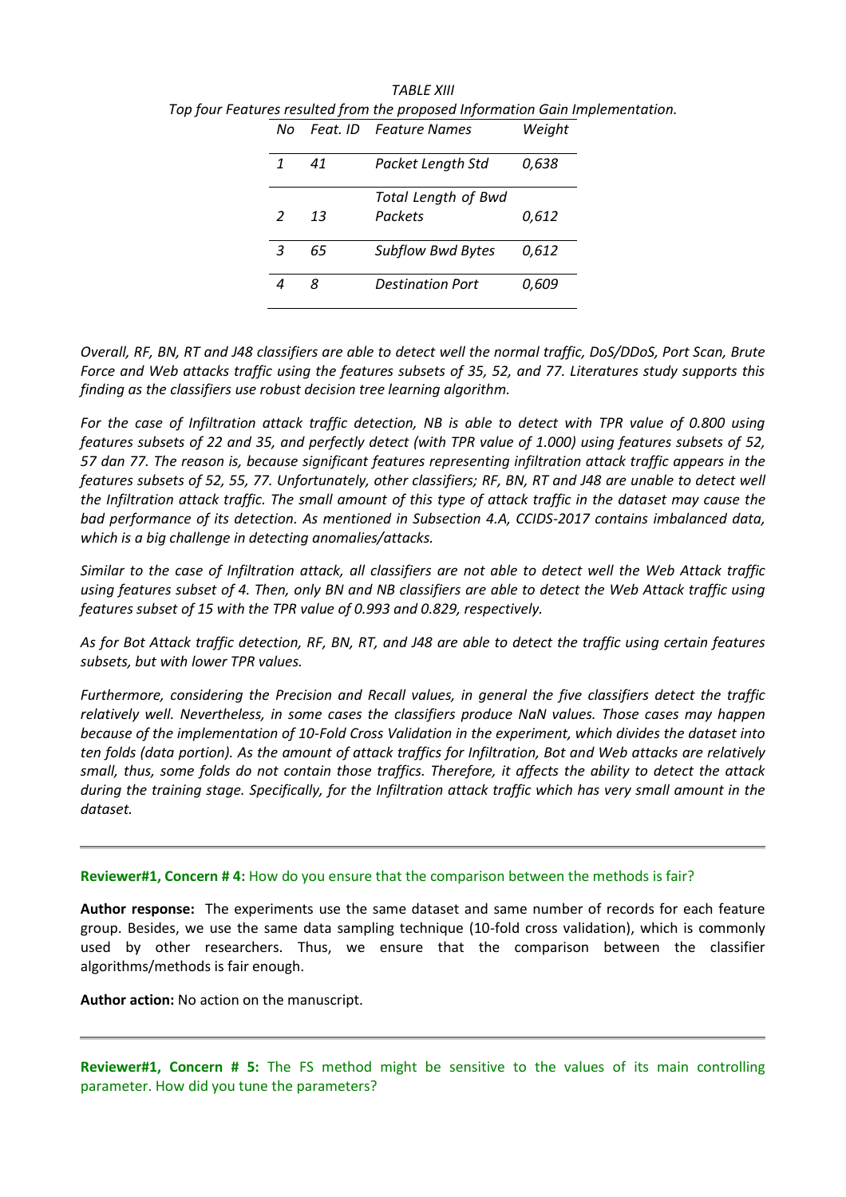| Nο            | Feat. ID | <b>Feature Names</b>       | Weight |
|---------------|----------|----------------------------|--------|
| $\mathbf{1}$  | 41       | Packet Length Std          | 0,638  |
|               |          | <b>Total Length of Bwd</b> |        |
| $\mathcal{P}$ | 13       | Packets                    | 0,612  |
| 3             | 65       | <b>Subflow Bwd Bytes</b>   | 0,612  |
|               | 8        | <b>Destination Port</b>    | 0,609  |

*TABLE XIII Top four Features resulted from the proposed Information Gain Implementation.*

*Overall, RF, BN, RT and J48 classifiers are able to detect well the normal traffic, DoS/DDoS, Port Scan, Brute Force and Web attacks traffic using the features subsets of 35, 52, and 77. Literatures study supports this finding as the classifiers use robust decision tree learning algorithm.*

*For the case of Infiltration attack traffic detection, NB is able to detect with TPR value of 0.800 using features subsets of 22 and 35, and perfectly detect (with TPR value of 1.000) using features subsets of 52, 57 dan 77. The reason is, because significant features representing infiltration attack traffic appears in the features subsets of 52, 55, 77. Unfortunately, other classifiers; RF, BN, RT and J48 are unable to detect well the Infiltration attack traffic. The small amount of this type of attack traffic in the dataset may cause the bad performance of its detection. As mentioned in Subsection 4.A, CCIDS-2017 contains imbalanced data, which is a big challenge in detecting anomalies/attacks.*

*Similar to the case of Infiltration attack, all classifiers are not able to detect well the Web Attack traffic using features subset of 4. Then, only BN and NB classifiers are able to detect the Web Attack traffic using features subset of 15 with the TPR value of 0.993 and 0.829, respectively.*

*As for Bot Attack traffic detection, RF, BN, RT, and J48 are able to detect the traffic using certain features subsets, but with lower TPR values.*

*Furthermore, considering the Precision and Recall values, in general the five classifiers detect the traffic relatively well. Nevertheless, in some cases the classifiers produce NaN values. Those cases may happen because of the implementation of 10-Fold Cross Validation in the experiment, which divides the dataset into ten folds (data portion). As the amount of attack traffics for Infiltration, Bot and Web attacks are relatively small, thus, some folds do not contain those traffics. Therefore, it affects the ability to detect the attack during the training stage. Specifically, for the Infiltration attack traffic which has very small amount in the dataset.*

## **Reviewer#1, Concern # 4:** How do you ensure that the comparison between the methods is fair?

**Author response:** The experiments use the same dataset and same number of records for each feature group. Besides, we use the same data sampling technique (10-fold cross validation), which is commonly used by other researchers. Thus, we ensure that the comparison between the classifier algorithms/methods is fair enough.

**Author action:** No action on the manuscript.

**Reviewer#1, Concern # 5:** The FS method might be sensitive to the values of its main controlling parameter. How did you tune the parameters?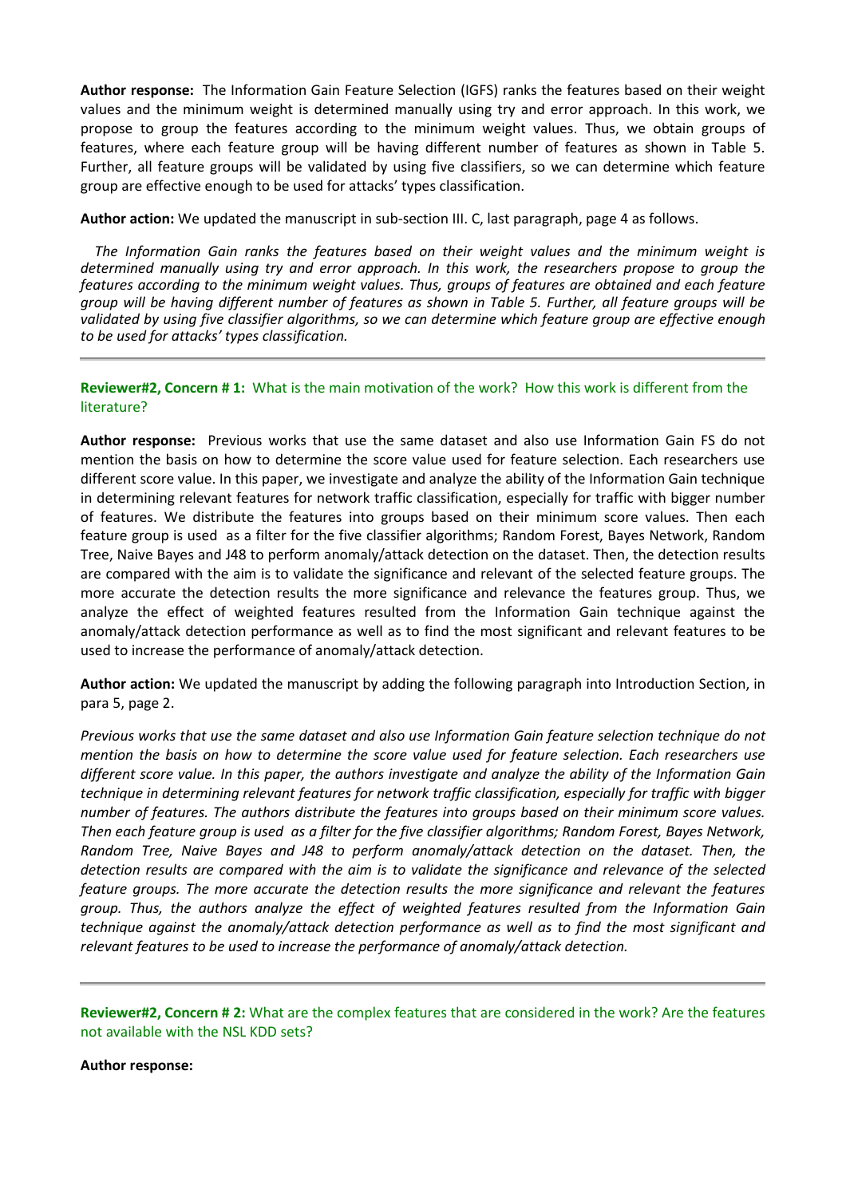**Author response:** The Information Gain Feature Selection (IGFS) ranks the features based on their weight values and the minimum weight is determined manually using try and error approach. In this work, we propose to group the features according to the minimum weight values. Thus, we obtain groups of features, where each feature group will be having different number of features as shown in Table 5. Further, all feature groups will be validated by using five classifiers, so we can determine which feature group are effective enough to be used for attacks' types classification.

**Author action:** We updated the manuscript in sub-section III. C, last paragraph, page 4 as follows.

*The Information Gain ranks the features based on their weight values and the minimum weight is determined manually using try and error approach. In this work, the researchers propose to group the features according to the minimum weight values. Thus, groups of features are obtained and each feature group will be having different number of features as shown in Table 5. Further, all feature groups will be validated by using five classifier algorithms, so we can determine which feature group are effective enough to be used for attacks' types classification.*

## **Reviewer#2, Concern # 1:** What is the main motivation of the work? How this work is different from the literature?

**Author response:** Previous works that use the same dataset and also use Information Gain FS do not mention the basis on how to determine the score value used for feature selection. Each researchers use different score value. In this paper, we investigate and analyze the ability of the Information Gain technique in determining relevant features for network traffic classification, especially for traffic with bigger number of features. We distribute the features into groups based on their minimum score values. Then each feature group is used as a filter for the five classifier algorithms; Random Forest, Bayes Network, Random Tree, Naive Bayes and J48 to perform anomaly/attack detection on the dataset. Then, the detection results are compared with the aim is to validate the significance and relevant of the selected feature groups. The more accurate the detection results the more significance and relevance the features group. Thus, we analyze the effect of weighted features resulted from the Information Gain technique against the anomaly/attack detection performance as well as to find the most significant and relevant features to be used to increase the performance of anomaly/attack detection.

**Author action:** We updated the manuscript by adding the following paragraph into Introduction Section, in para 5, page 2.

*Previous works that use the same dataset and also use Information Gain feature selection technique do not mention the basis on how to determine the score value used for feature selection. Each researchers use different score value. In this paper, the authors investigate and analyze the ability of the Information Gain technique in determining relevant features for network traffic classification, especially for traffic with bigger number of features. The authors distribute the features into groups based on their minimum score values. Then each feature group is used as a filter for the five classifier algorithms; Random Forest, Bayes Network, Random Tree, Naive Bayes and J48 to perform anomaly/attack detection on the dataset. Then, the detection results are compared with the aim is to validate the significance and relevance of the selected feature groups. The more accurate the detection results the more significance and relevant the features group. Thus, the authors analyze the effect of weighted features resulted from the Information Gain technique against the anomaly/attack detection performance as well as to find the most significant and relevant features to be used to increase the performance of anomaly/attack detection.*

**Reviewer#2, Concern # 2:** What are the complex features that are considered in the work? Are the features not available with the NSL KDD sets?

**Author response:**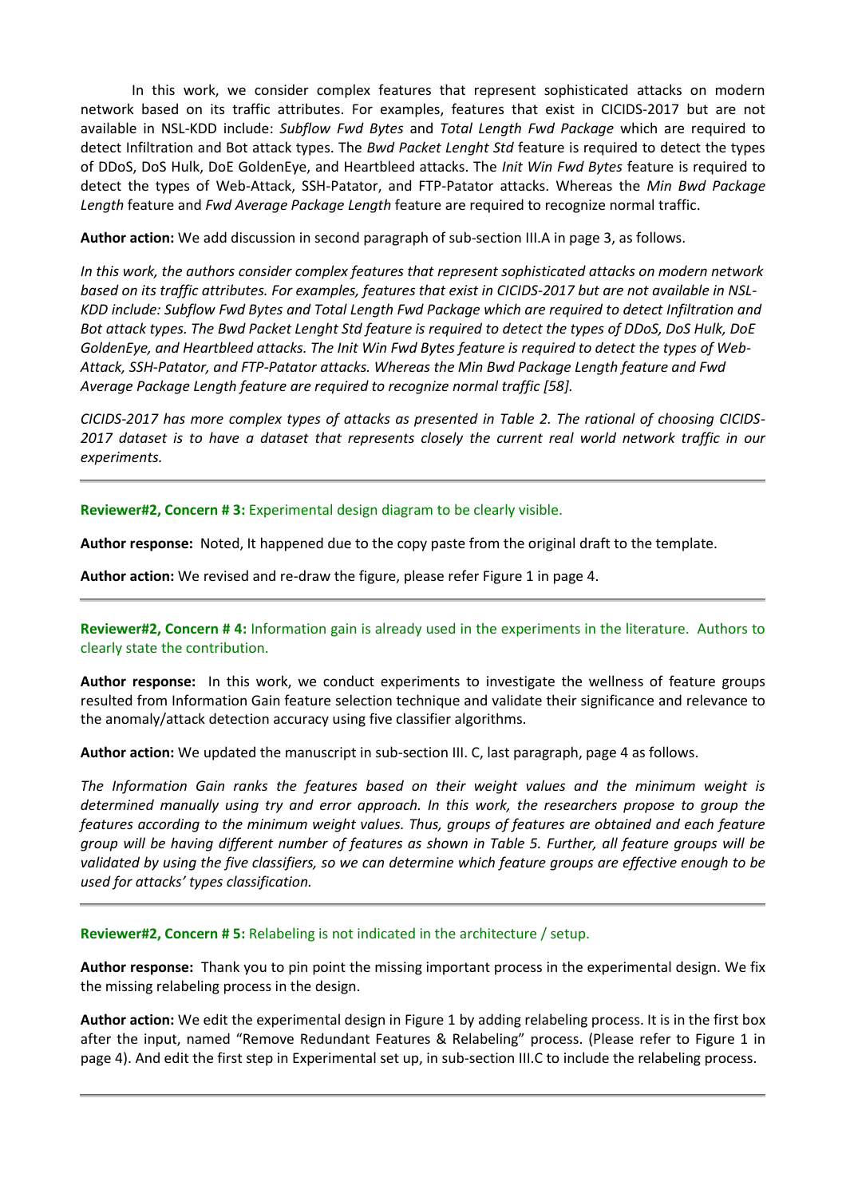In this work, we consider complex features that represent sophisticated attacks on modern network based on its traffic attributes. For examples, features that exist in CICIDS-2017 but are not available in NSL-KDD include: *Subflow Fwd Bytes* and *Total Length Fwd Package* which are required to detect Infiltration and Bot attack types. The *Bwd Packet Lenght Std* feature is required to detect the types of DDoS, DoS Hulk, DoE GoldenEye, and Heartbleed attacks. The *Init Win Fwd Bytes* feature is required to detect the types of Web-Attack, SSH-Patator, and FTP-Patator attacks. Whereas the *Min Bwd Package Length* feature and *Fwd Average Package Length* feature are required to recognize normal traffic.

**Author action:** We add discussion in second paragraph of sub-section III.A in page 3, as follows.

*In this work, the authors consider complex features that represent sophisticated attacks on modern network based on its traffic attributes. For examples, features that exist in CICIDS-2017 but are not available in NSL-KDD include: Subflow Fwd Bytes and Total Length Fwd Package which are required to detect Infiltration and Bot attack types. The Bwd Packet Lenght Std feature is required to detect the types of DDoS, DoS Hulk, DoE GoldenEye, and Heartbleed attacks. The Init Win Fwd Bytes feature is required to detect the types of Web-Attack, SSH-Patator, and FTP-Patator attacks. Whereas the Min Bwd Package Length feature and Fwd Average Package Length feature are required to recognize normal traffic [58].* 

*CICIDS-2017 has more complex types of attacks as presented in Table 2. The rational of choosing CICIDS-2017 dataset is to have a dataset that represents closely the current real world network traffic in our experiments.*

**Reviewer#2, Concern # 3:** Experimental design diagram to be clearly visible.

**Author response:** Noted, It happened due to the copy paste from the original draft to the template.

**Author action:** We revised and re-draw the figure, please refer Figure 1 in page 4.

**Reviewer#2, Concern # 4:** Information gain is already used in the experiments in the literature. Authors to clearly state the contribution.

**Author response:** In this work, we conduct experiments to investigate the wellness of feature groups resulted from Information Gain feature selection technique and validate their significance and relevance to the anomaly/attack detection accuracy using five classifier algorithms.

**Author action:** We updated the manuscript in sub-section III. C, last paragraph, page 4 as follows.

*The Information Gain ranks the features based on their weight values and the minimum weight is determined manually using try and error approach. In this work, the researchers propose to group the features according to the minimum weight values. Thus, groups of features are obtained and each feature group will be having different number of features as shown in Table 5. Further, all feature groups will be validated by using the five classifiers, so we can determine which feature groups are effective enough to be used for attacks' types classification.*

## **Reviewer#2, Concern # 5:** Relabeling is not indicated in the architecture / setup.

**Author response:** Thank you to pin point the missing important process in the experimental design. We fix the missing relabeling process in the design.

**Author action:** We edit the experimental design in Figure 1 by adding relabeling process. It is in the first box after the input, named "Remove Redundant Features & Relabeling" process. (Please refer to Figure 1 in page 4). And edit the first step in Experimental set up, in sub-section III.C to include the relabeling process.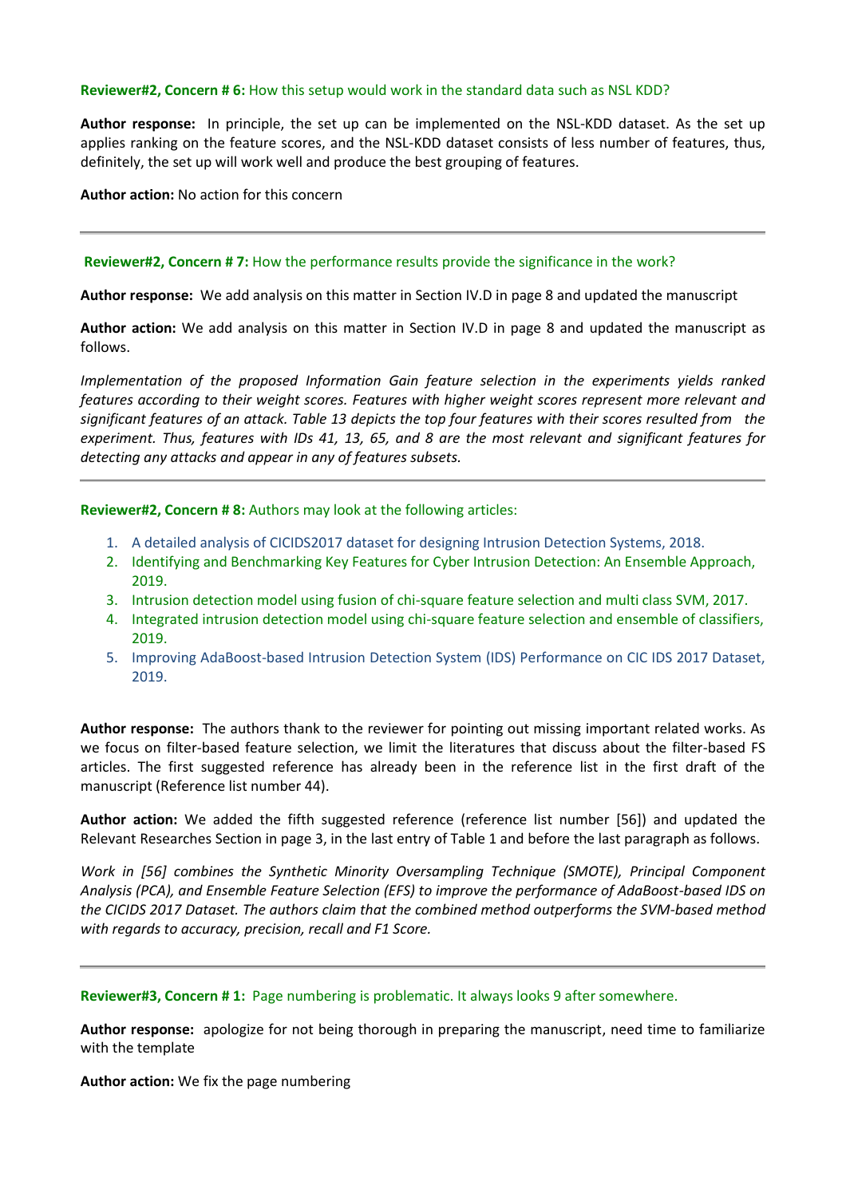#### **Reviewer#2, Concern # 6:** How this setup would work in the standard data such as NSL KDD?

**Author response:** In principle, the set up can be implemented on the NSL-KDD dataset. As the set up applies ranking on the feature scores, and the NSL-KDD dataset consists of less number of features, thus, definitely, the set up will work well and produce the best grouping of features.

**Author action:** No action for this concern

#### **Reviewer#2, Concern # 7:** How the performance results provide the significance in the work?

**Author response:** We add analysis on this matter in Section IV.D in page 8 and updated the manuscript

**Author action:** We add analysis on this matter in Section IV.D in page 8 and updated the manuscript as follows.

*Implementation of the proposed Information Gain feature selection in the experiments yields ranked features according to their weight scores. Features with higher weight scores represent more relevant and significant features of an attack. Table 13 depicts the top four features with their scores resulted from the experiment. Thus, features with IDs 41, 13, 65, and 8 are the most relevant and significant features for detecting any attacks and appear in any of features subsets.*

**Reviewer#2, Concern # 8:** Authors may look at the following articles:

- 1. A detailed analysis of CICIDS2017 dataset for designing Intrusion Detection Systems, 2018.
- 2. Identifying and Benchmarking Key Features for Cyber Intrusion Detection: An Ensemble Approach, 2019.
- 3. Intrusion detection model using fusion of chi-square feature selection and multi class SVM, 2017.
- 4. Integrated intrusion detection model using chi-square feature selection and ensemble of classifiers, 2019.
- 5. Improving AdaBoost-based Intrusion Detection System (IDS) Performance on CIC IDS 2017 Dataset, 2019.

**Author response:** The authors thank to the reviewer for pointing out missing important related works. As we focus on filter-based feature selection, we limit the literatures that discuss about the filter-based FS articles. The first suggested reference has already been in the reference list in the first draft of the manuscript (Reference list number 44).

**Author action:** We added the fifth suggested reference (reference list number [56]) and updated the Relevant Researches Section in page 3, in the last entry of Table 1 and before the last paragraph as follows.

*Work in [56] combines the Synthetic Minority Oversampling Technique (SMOTE), Principal Component Analysis (PCA), and Ensemble Feature Selection (EFS) to improve the performance of AdaBoost-based IDS on the CICIDS 2017 Dataset. The authors claim that the combined method outperforms the SVM-based method with regards to accuracy, precision, recall and F1 Score.*

#### **Reviewer#3, Concern # 1:** Page numbering is problematic. It always looks 9 after somewhere.

**Author response:** apologize for not being thorough in preparing the manuscript, need time to familiarize with the template

**Author action:** We fix the page numbering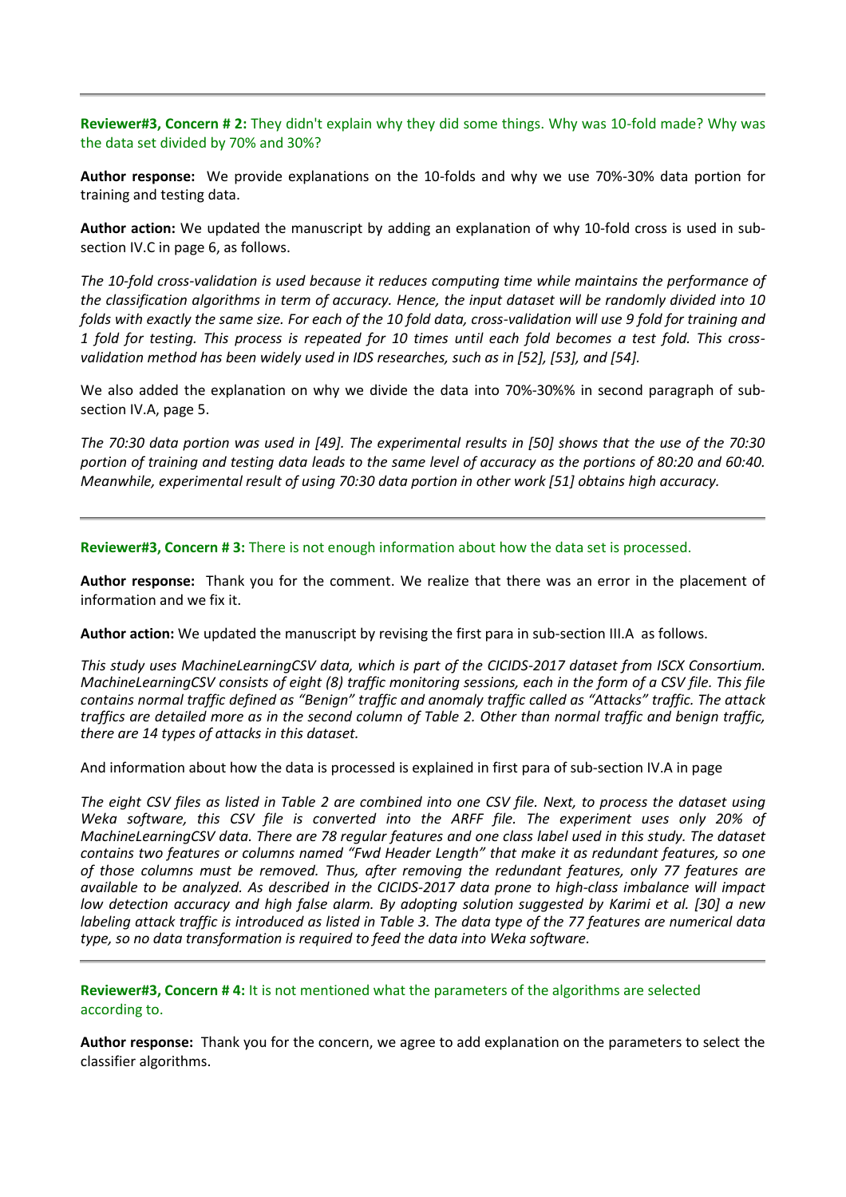**Reviewer#3, Concern # 2:** They didn't explain why they did some things. Why was 10-fold made? Why was the data set divided by 70% and 30%?

**Author response:** We provide explanations on the 10-folds and why we use 70%-30% data portion for training and testing data.

**Author action:** We updated the manuscript by adding an explanation of why 10-fold cross is used in subsection IV.C in page 6, as follows.

*The 10-fold cross-validation is used because it reduces computing time while maintains the performance of the classification algorithms in term of accuracy. Hence, the input dataset will be randomly divided into 10 folds with exactly the same size. For each of the 10 fold data, cross-validation will use 9 fold for training and 1 fold for testing. This process is repeated for 10 times until each fold becomes a test fold. This crossvalidation method has been widely used in IDS researches, such as in [52], [53], and [54].* 

We also added the explanation on why we divide the data into 70%-30%% in second paragraph of subsection IV.A, page 5.

*The 70:30 data portion was used in [49]. The experimental results in [50] shows that the use of the 70:30 portion of training and testing data leads to the same level of accuracy as the portions of 80:20 and 60:40. Meanwhile, experimental result of using 70:30 data portion in other work [51] obtains high accuracy.*

**Reviewer#3, Concern # 3:** There is not enough information about how the data set is processed.

**Author response:** Thank you for the comment. We realize that there was an error in the placement of information and we fix it.

**Author action:** We updated the manuscript by revising the first para in sub-section III.A as follows.

*This study uses MachineLearningCSV data, which is part of the CICIDS-2017 dataset from ISCX Consortium. MachineLearningCSV consists of eight (8) traffic monitoring sessions, each in the form of a CSV file. This file contains normal traffic defined as "Benign" traffic and anomaly traffic called as "Attacks" traffic. The attack traffics are detailed more as in the second column of Table 2. Other than normal traffic and benign traffic, there are 14 types of attacks in this dataset.* 

And information about how the data is processed is explained in first para of sub-section IV.A in page

*The eight CSV files as listed in Table 2 are combined into one CSV file. Next, to process the dataset using Weka software, this CSV file is converted into the ARFF file. The experiment uses only 20% of MachineLearningCSV data. There are 78 regular features and one class label used in this study. The dataset contains two features or columns named "Fwd Header Length" that make it as redundant features, so one of those columns must be removed. Thus, after removing the redundant features, only 77 features are available to be analyzed. As described in the CICIDS-2017 data prone to high-class imbalance will impact low detection accuracy and high false alarm. By adopting solution suggested by Karimi et al. [30] a new labeling attack traffic is introduced as listed in Table 3. The data type of the 77 features are numerical data type, so no data transformation is required to feed the data into Weka software.*

**Reviewer#3, Concern # 4:** It is not mentioned what the parameters of the algorithms are selected according to.

**Author response:** Thank you for the concern, we agree to add explanation on the parameters to select the classifier algorithms.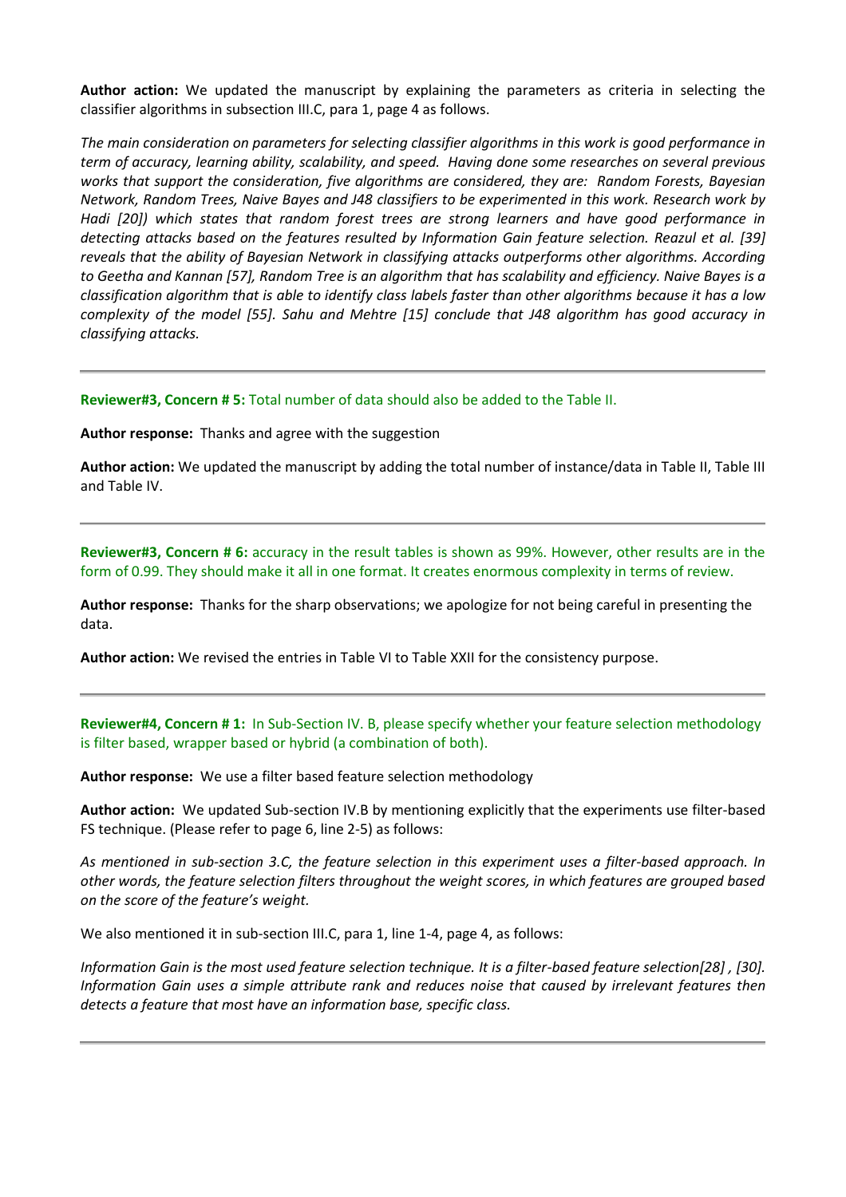**Author action:** We updated the manuscript by explaining the parameters as criteria in selecting the classifier algorithms in subsection III.C, para 1, page 4 as follows.

*The main consideration on parameters for selecting classifier algorithms in this work is good performance in term of accuracy, learning ability, scalability, and speed. Having done some researches on several previous works that support the consideration, five algorithms are considered, they are: Random Forests, Bayesian Network, Random Trees, Naive Bayes and J48 classifiers to be experimented in this work. Research work by Hadi [20]) which states that random forest trees are strong learners and have good performance in detecting attacks based on the features resulted by Information Gain feature selection. Reazul et al. [39] reveals that the ability of Bayesian Network in classifying attacks outperforms other algorithms. According to Geetha and Kannan [57], Random Tree is an algorithm that has scalability and efficiency. Naive Bayes is a classification algorithm that is able to identify class labels faster than other algorithms because it has a low complexity of the model [55]. Sahu and Mehtre [15] conclude that J48 algorithm has good accuracy in classifying attacks.*

**Reviewer#3, Concern # 5:** Total number of data should also be added to the Table II.

**Author response:** Thanks and agree with the suggestion

**Author action:** We updated the manuscript by adding the total number of instance/data in Table II, Table III and Table IV.

**Reviewer#3, Concern # 6:** accuracy in the result tables is shown as 99%. However, other results are in the form of 0.99. They should make it all in one format. It creates enormous complexity in terms of review.

**Author response:** Thanks for the sharp observations; we apologize for not being careful in presenting the data.

**Author action:** We revised the entries in Table VI to Table XXII for the consistency purpose.

**Reviewer#4, Concern # 1:** In Sub-Section IV. B, please specify whether your feature selection methodology is filter based, wrapper based or hybrid (a combination of both).

**Author response:** We use a filter based feature selection methodology

**Author action:** We updated Sub-section IV.B by mentioning explicitly that the experiments use filter-based FS technique. (Please refer to page 6, line 2-5) as follows:

*As mentioned in sub-section 3.C, the feature selection in this experiment uses a filter-based approach. In other words, the feature selection filters throughout the weight scores, in which features are grouped based on the score of the feature's weight.*

We also mentioned it in sub-section III.C, para 1, line 1-4, page 4, as follows:

*Information Gain is the most used feature selection technique. It is a filter-based feature selection[28] , [30]. Information Gain uses a simple attribute rank and reduces noise that caused by irrelevant features then detects a feature that most have an information base, specific class.*